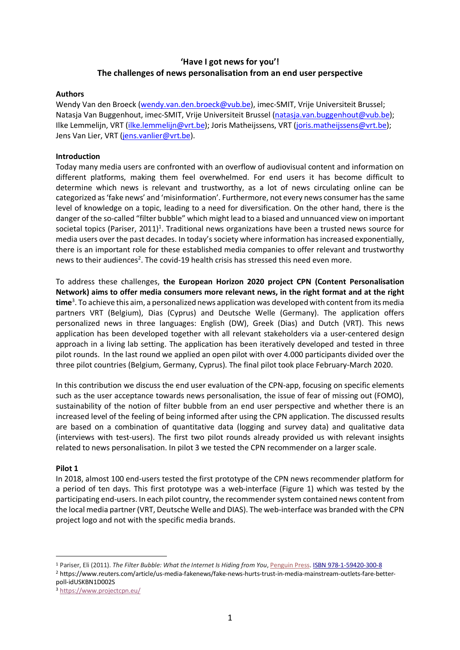# **'Have I got news for you'! The challenges of news personalisation from an end user perspective**

#### **Authors**

Wendy Van den Broeck (wendy.van.den.broeck@vub.be), imec-SMIT, Vrije Universiteit Brussel; Natasja Van Buggenhout, imec-SMIT, Vrije Universiteit Brussel (natasja.van.buggenhout@vub.be); Ilke Lemmelijn, VRT (ilke.lemmelijn@vrt.be); Joris Matheijssens, VRT (joris.matheijssens@vrt.be); Jens Van Lier, VRT (jens.vanlier@vrt.be).

## **Introduction**

Today many media users are confronted with an overflow of audiovisual content and information on different platforms, making them feel overwhelmed. For end users it has become difficult to determine which news is relevant and trustworthy, as a lot of news circulating online can be categorized as 'fake news' and 'misinformation'. Furthermore, not every news consumer has the same level of knowledge on a topic, leading to a need for diversification. On the other hand, there is the danger of the so-called "filter bubble" which might lead to a biased and unnuanced view on important societal topics (Pariser, 2011)<sup>1</sup>. Traditional news organizations have been a trusted news source for media users over the past decades. In today's society where information has increased exponentially, there is an important role for these established media companies to offer relevant and trustworthy news to their audiences<sup>2</sup>. The covid-19 health crisis has stressed this need even more.

To address these challenges, **the European Horizon 2020 project CPN (Content Personalisation Network) aims to offer media consumers more relevant news, in the right format and at the right time**<sup>3</sup> . To achieve this aim, a personalized news application was developed with content from its media partners VRT (Belgium), Dias (Cyprus) and Deutsche Welle (Germany). The application offers personalized news in three languages: English (DW), Greek (Dias) and Dutch (VRT). This news application has been developed together with all relevant stakeholders via a user-centered design approach in a living lab setting. The application has been iteratively developed and tested in three pilot rounds. In the last round we applied an open pilot with over 4.000 participants divided over the three pilot countries (Belgium, Germany, Cyprus). The final pilot took place February-March 2020.

In this contribution we discuss the end user evaluation of the CPN-app, focusing on specific elements such as the user acceptance towards news personalisation, the issue of fear of missing out (FOMO), sustainability of the notion of filter bubble from an end user perspective and whether there is an increased level of the feeling of being informed after using the CPN application. The discussed results are based on a combination of quantitative data (logging and survey data) and qualitative data (interviews with test-users). The first two pilot rounds already provided us with relevant insights related to news personalisation. In pilot 3 we tested the CPN recommender on a larger scale.

#### **Pilot 1**

In 2018, almost 100 end-users tested the first prototype of the CPN news recommender platform for a period of ten days. This first prototype was a web-interface (Figure 1) which was tested by the participating end-users. In each pilot country, the recommender system contained news content from the local media partner (VRT, Deutsche Welle and DIAS). The web-interface was branded with the CPN project logo and not with the specific media brands.

 <sup>1</sup> Pariser, Eli (2011). *The Filter Bubble: What the Internet Is Hiding from You*, Penguin Press. ISBN 978-1-59420-300-8

<sup>2</sup> https://www.reuters.com/article/us-media-fakenews/fake-news-hurts-trust-in-media-mainstream-outlets-fare-betterpoll-idUSKBN1D002S

<sup>3</sup> https://www.projectcpn.eu/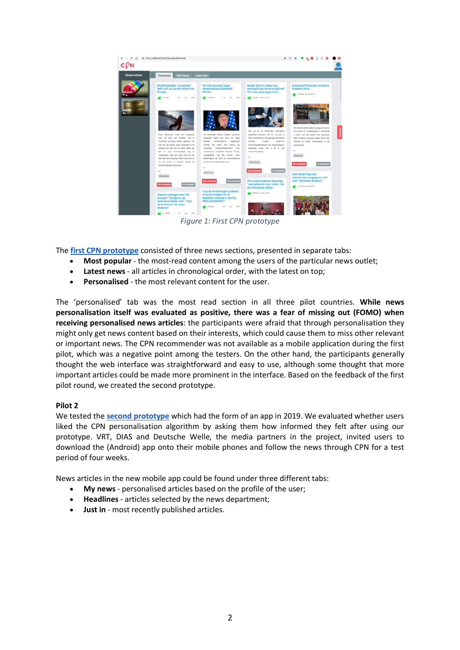

*Figure 1: First CPN prototype*

The **first CPN prototype** consisted of three news sections, presented in separate tabs:

- **Most popular** the most-read content among the users of the particular news outlet;
- **Latest news** all articles in chronological order, with the latest on top;
- **Personalised** the most relevant content for the user.

The 'personalised' tab was the most read section in all three pilot countries. **While news personalisation itself was evaluated as positive, there was a fear of missing out (FOMO) when receiving personalised news articles**: the participants were afraid that through personalisation they might only get news content based on their interests, which could cause them to miss other relevant or important news. The CPN recommender was not available as a mobile application during the first pilot, which was a negative point among the testers. On the other hand, the participants generally thought the web interface was straightforward and easy to use, although some thought that more important articles could be made more prominent in the interface. Based on the feedback of the first pilot round, we created the second prototype.

#### **Pilot 2**

We tested the **second prototype** which had the form of an app in 2019. We evaluated whether users liked the CPN personalisation algorithm by asking them how informed they felt after using our prototype. VRT, DIAS and Deutsche Welle, the media partners in the project, invited users to download the (Android) app onto their mobile phones and follow the news through CPN for a test period of four weeks.

News articles in the new mobile app could be found under three different tabs:

- **My news** personalised articles based on the profile of the user;
- **Headlines** articles selected by the news department;
- **Just in** most recently published articles.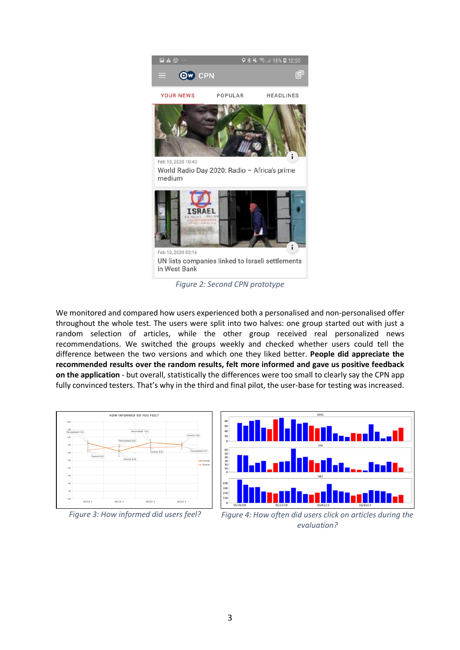

*Figure 2: Second CPN prototype*

We monitored and compared how users experienced both a personalised and non-personalised offer throughout the whole test. The users were split into two halves: one group started out with just a random selection of articles, while the other group received real personalized news recommendations. We switched the groups weekly and checked whether users could tell the difference between the two versions and which one they liked better. **People did appreciate the recommended results over the random results, felt more informed and gave us positive feedback on the application** - but overall, statistically the differences were too small to clearly say the CPN app fully convinced testers. That's why in the third and final pilot, the user-base for testing was increased.





*Figure 3: How informed did users feel? Figure 4: How often did users click on articles during the evaluation?*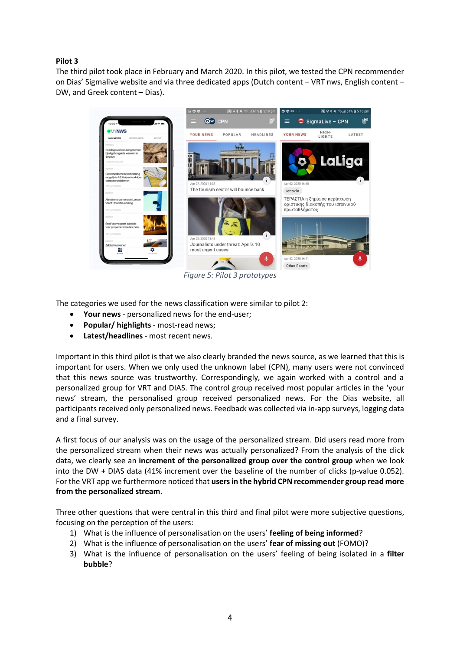# **Pilot 3**

The third pilot took place in February and March 2020. In this pilot, we tested the CPN recommender on Dias' Sigmalive website and via three dedicated apps (Dutch content – VRT nws, English content – DW, and Greek content – Dias).



*Figure 5: Pilot 3 prototypes*

The categories we used for the news classification were similar to pilot 2:

- **Your news** personalized news for the end-user;
- **Popular/ highlights** most-read news;
- **Latest/headlines** most recent news.

Important in this third pilot is that we also clearly branded the news source, as we learned that this is important for users. When we only used the unknown label (CPN), many users were not convinced that this news source was trustworthy. Correspondingly, we again worked with a control and a personalized group for VRT and DIAS. The control group received most popular articles in the 'your news' stream, the personalised group received personalized news. For the Dias website, all participants received only personalized news. Feedback was collected via in-app surveys, logging data and a final survey.

A first focus of our analysis was on the usage of the personalized stream. Did users read more from the personalized stream when their news was actually personalized? From the analysis of the click data, we clearly see an **increment of the personalized group over the control group** when we look into the DW + DIAS data (41% increment over the baseline of the number of clicks (p-value 0.052). For the VRT app we furthermore noticed that **users in the hybrid CPN recommender group read more from the personalized stream**.

Three other questions that were central in this third and final pilot were more subjective questions, focusing on the perception of the users:

- 1) What is the influence of personalisation on the users' **feeling of being informed**?
- 2) What is the influence of personalisation on the users' **fear of missing out** (FOMO)?
- 3) What is the influence of personalisation on the users' feeling of being isolated in a **filter bubble**?